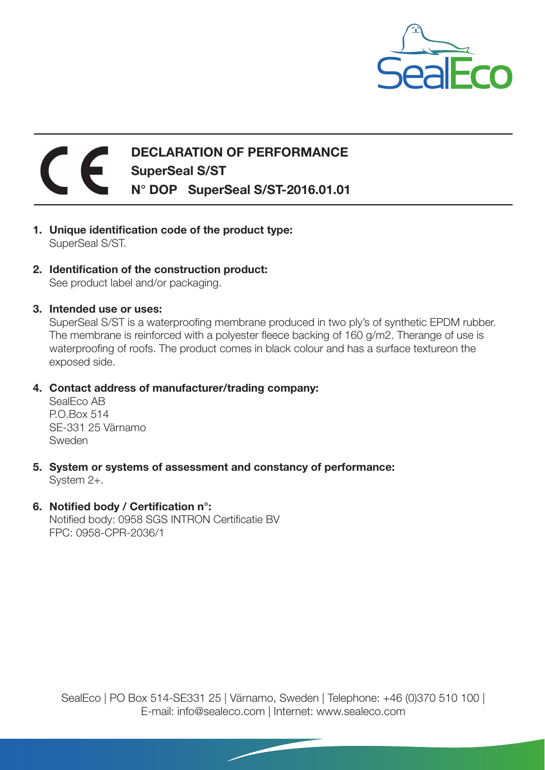

## DECLARATION OF PERFORMANCE SuperSeal S/ST N° DOP SuperSeal S/ST-2016.01.01

- 1. Unique identification code of the product type: SuperSeal S/ST.
- 2. Identification of the construction product: See product label and/or packaging.
- 3. Intended use or uses:

SuperSeal S/ST is a waterproofing membrane produced in two ply's of synthetic EPDM rubber. The membrane is reinforced with a polyester fleece backing of 160 g/m2. Therange of use is waterproofing of roofs. The product comes in black colour and has a surface textureon the exposed side.

4. Contact address of manufacturer/trading company:

SealEco AB P.O.Box 514 SE-331 25 Värnamo Sweden

- 5. System or systems of assessment and constancy of performance: System 2+.
- 6. Notified body / Certification n°:

Notified body: 0958 SGS INTRON Certificatie BV FPC: 0958-CPR-2036/1